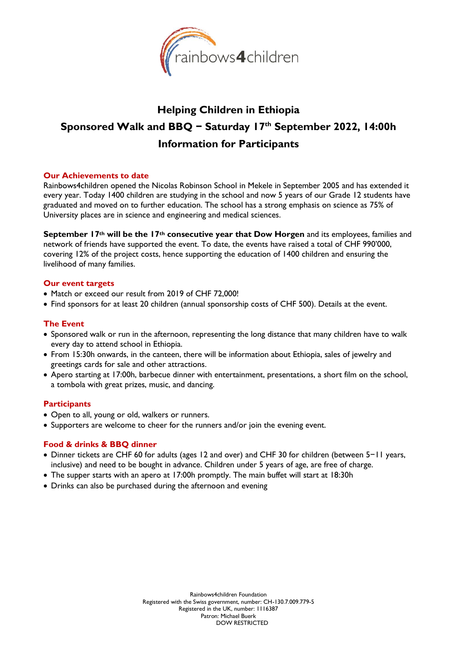

# **Helping Children in Ethiopia Sponsored Walk and BBQ − Saturday 17 th September 2022, 14:00h Information for Participants**

## **Our Achievements to date**

Rainbows4children opened the Nicolas Robinson School in Mekele in September 2005 and has extended it every year. Today 1400 children are studying in the school and now 5 years of our Grade 12 students have graduated and moved on to further education. The school has a strong emphasis on science as 75% of University places are in science and engineering and medical sciences.

**September 17th will be the 17th consecutive year that Dow Horgen** and its employees, families and network of friends have supported the event. To date, the events have raised a total of CHF 990'000, covering 12% of the project costs, hence supporting the education of 1400 children and ensuring the livelihood of many families.

## **Our event targets**

- Match or exceed our result from 2019 of CHF 72,000!
- Find sponsors for at least 20 children (annual sponsorship costs of CHF 500). Details at the event.

## **The Event**

- Sponsored walk or run in the afternoon, representing the long distance that many children have to walk every day to attend school in Ethiopia.
- From 15:30h onwards, in the canteen, there will be information about Ethiopia, sales of jewelry and greetings cards for sale and other attractions.
- Apero starting at 17:00h, barbecue dinner with entertainment, presentations, a short film on the school, a tombola with great prizes, music, and dancing.

## **Participants**

- Open to all, young or old, walkers or runners.
- Supporters are welcome to cheer for the runners and/or join the evening event.

## **Food & drinks & BBQ dinner**

- Dinner tickets are CHF 60 for adults (ages 12 and over) and CHF 30 for children (between 5−11 years, inclusive) and need to be bought in advance. Children under 5 years of age, are free of charge.
- The supper starts with an apero at 17:00h promptly. The main buffet will start at 18:30h
- Drinks can also be purchased during the afternoon and evening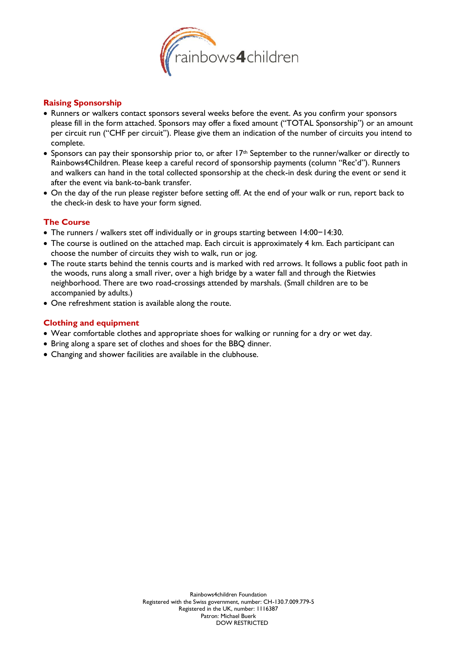

# **Raising Sponsorship**

- Runners or walkers contact sponsors several weeks before the event. As you confirm your sponsors please fill in the form attached. Sponsors may offer a fixed amount ("TOTAL Sponsorship") or an amount per circuit run ("CHF per circuit"). Please give them an indication of the number of circuits you intend to complete.
- Sponsors can pay their sponsorship prior to, or after 17<sup>th</sup> September to the runner/walker or directly to Rainbows4Children. Please keep a careful record of sponsorship payments (column "Rec'd"). Runners and walkers can hand in the total collected sponsorship at the check-in desk during the event or send it after the event via bank-to-bank transfer.
- On the day of the run please register before setting off. At the end of your walk or run, report back to the check-in desk to have your form signed.

# **The Course**

- The runners / walkers stet off individually or in groups starting between 14:00−14:30.
- The course is outlined on the attached map. Each circuit is approximately 4 km. Each participant can choose the number of circuits they wish to walk, run or jog.
- The route starts behind the tennis courts and is marked with red arrows. It follows a public foot path in the woods, runs along a small river, over a high bridge by a water fall and through the Rietwies neighborhood. There are two road-crossings attended by marshals. (Small children are to be accompanied by adults.)
- One refreshment station is available along the route.

# **Clothing and equipment**

- Wear comfortable clothes and appropriate shoes for walking or running for a dry or wet day.
- Bring along a spare set of clothes and shoes for the BBQ dinner.
- Changing and shower facilities are available in the clubhouse.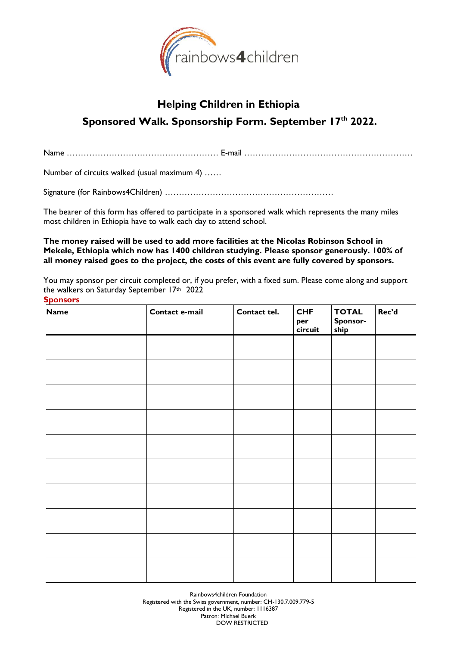

# **Helping Children in Ethiopia Sponsored Walk. Sponsorship Form. September 17 th 2022.**

Name ……………………………………………… E-mail ……………………………………………………

Number of circuits walked (usual maximum 4) ……

Signature (for Rainbows4Children) ……………………………………………………

The bearer of this form has offered to participate in a sponsored walk which represents the many miles most children in Ethiopia have to walk each day to attend school.

**The money raised will be used to add more facilities at the Nicolas Robinson School in Mekele, Ethiopia which now has 1400 children studying. Please sponsor generously. 100% of all money raised goes to the project, the costs of this event are fully covered by sponsors.**

You may sponsor per circuit completed or, if you prefer, with a fixed sum. Please come along and support the walkers on Saturday September 17th 2022

# **Sponsors Name Contact e-mail Contact tel. CHF per circuit TOTAL Sponsorship Rec'd**

Rainbows4children Foundation Registered with the Swiss government, number: CH-130.7.009.779-5 Registered in the UK, number: 1116387 Patron: Michael Buerk DOW RESTRICTED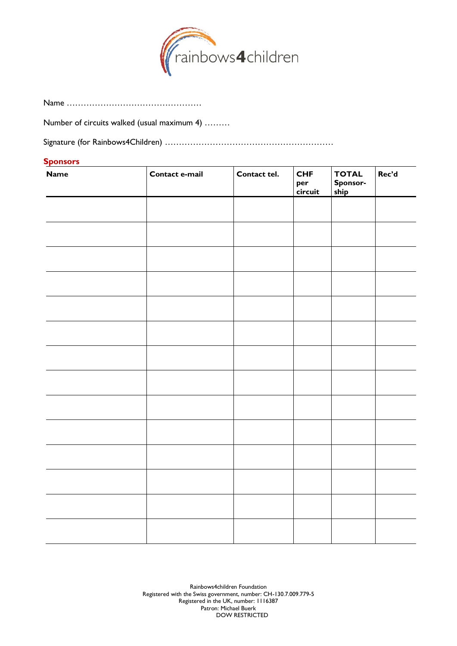

Name …………………………………………

Number of circuits walked (usual maximum 4) ………

Signature (for Rainbows4Children) ……………………………………………………

# **Sponsors**

| <b>Name</b> | Contact e-mail | Contact tel. | <b>CHF</b><br>per<br>circuit | <b>TOTAL</b><br>Sponsor-<br>ship | Rec'd |
|-------------|----------------|--------------|------------------------------|----------------------------------|-------|
|             |                |              |                              |                                  |       |
|             |                |              |                              |                                  |       |
|             |                |              |                              |                                  |       |
|             |                |              |                              |                                  |       |
|             |                |              |                              |                                  |       |
|             |                |              |                              |                                  |       |
|             |                |              |                              |                                  |       |
|             |                |              |                              |                                  |       |
|             |                |              |                              |                                  |       |
|             |                |              |                              |                                  |       |
|             |                |              |                              |                                  |       |
|             |                |              |                              |                                  |       |
|             |                |              |                              |                                  |       |
|             |                |              |                              |                                  |       |

Rainbows4children Foundation Registered with the Swiss government, number: CH-130.7.009.779-5 Registered in the UK, number: 1116387 Patron: Michael Buerk DOW RESTRICTED